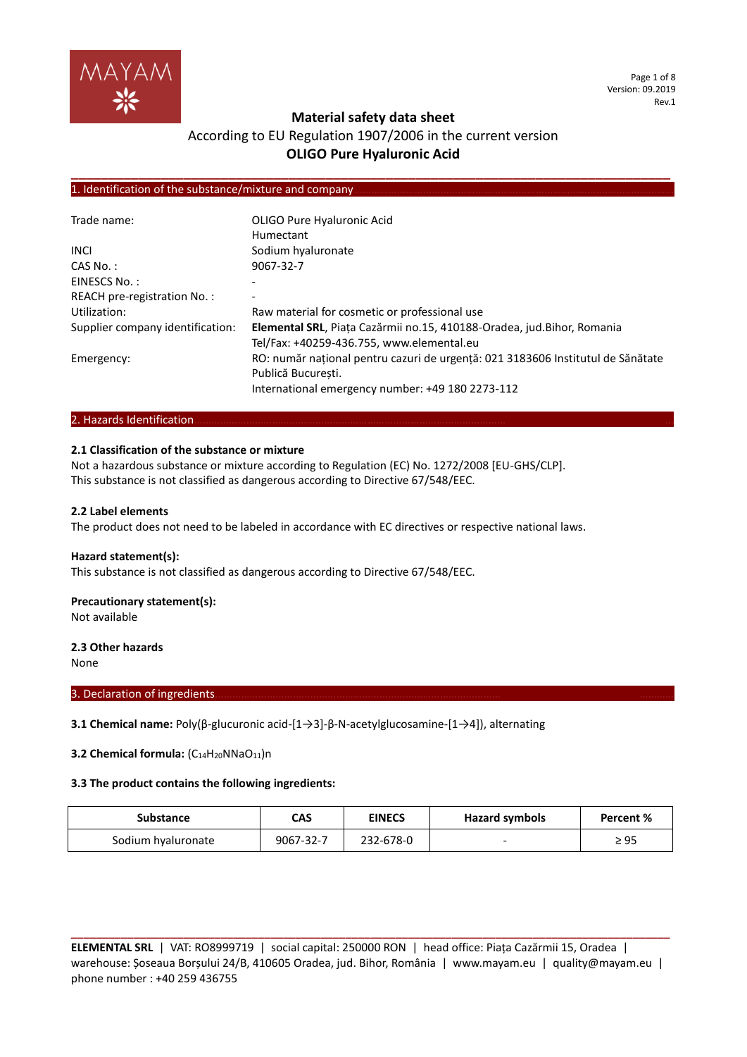

Page 1 of 8 Version: 09.2019 Rev.1

### **Material safety data sheet**

# According to EU Regulation 1907/2006 in the current version **OLIGO Pure Hyaluronic Acid**

**\_\_\_\_\_\_\_\_\_\_\_\_\_\_\_\_\_\_\_\_\_\_\_\_\_\_\_\_\_\_\_\_\_\_\_\_\_\_\_\_\_\_\_\_\_\_\_\_\_\_\_\_\_\_\_\_\_\_\_\_\_\_\_\_\_\_\_\_\_\_\_\_\_\_\_\_\_\_\_\_**

### 1. Identification of the substance/mixture and company.

| Trade name:                      | OLIGO Pure Hyaluronic Acid                                                      |
|----------------------------------|---------------------------------------------------------------------------------|
|                                  | Humectant                                                                       |
| <b>INCI</b>                      | Sodium hyaluronate                                                              |
| CAS No.:                         | 9067-32-7                                                                       |
| EINESCS No.:                     |                                                                                 |
| REACH pre-registration No.:      |                                                                                 |
| Utilization:                     | Raw material for cosmetic or professional use                                   |
| Supplier company identification: | Elemental SRL, Piața Cazărmii no.15, 410188-Oradea, jud.Bihor, Romania          |
|                                  | Tel/Fax: +40259-436.755, www.elemental.eu                                       |
| Emergency:                       | RO: număr național pentru cazuri de urgență: 021 3183606 Institutul de Sănătate |
|                                  | Publică București.                                                              |
|                                  | International emergency number: +49 180 2273-112                                |

### 2. Hazards Identification...

### **2.1 Classification of the substance or mixture**

Not a hazardous substance or mixture according to Regulation (EC) No. 1272/2008 [EU-GHS/CLP]. This substance is not classified as dangerous according to Directive 67/548/EEC.

### **2.2 Label elements**

The product does not need to be labeled in accordance with EC directives or respective national laws.

### **Hazard statement(s):**

This substance is not classified as dangerous according to Directive 67/548/EEC.

### **Precautionary statement(s):**

Not available

### **2.3 Other hazards**

None

#### 3. Declaration of ingredients.

**3.1 Chemical name:** Poly(β-glucuronic acid-[1→3]-β-N-acetylglucosamine-[1→4]), alternating

**3.2 Chemical formula:** (C<sub>14</sub>H<sub>20</sub>NNaO<sub>11</sub>)n

### **3.3 The product contains the following ingredients:**

| Substance          | CAS       | <b>EINECS</b> | Hazard symbols | Percent % |
|--------------------|-----------|---------------|----------------|-----------|
| Sodium hyaluronate | 9067-32-7 | 232-678-0     | -              | ≥ 95      |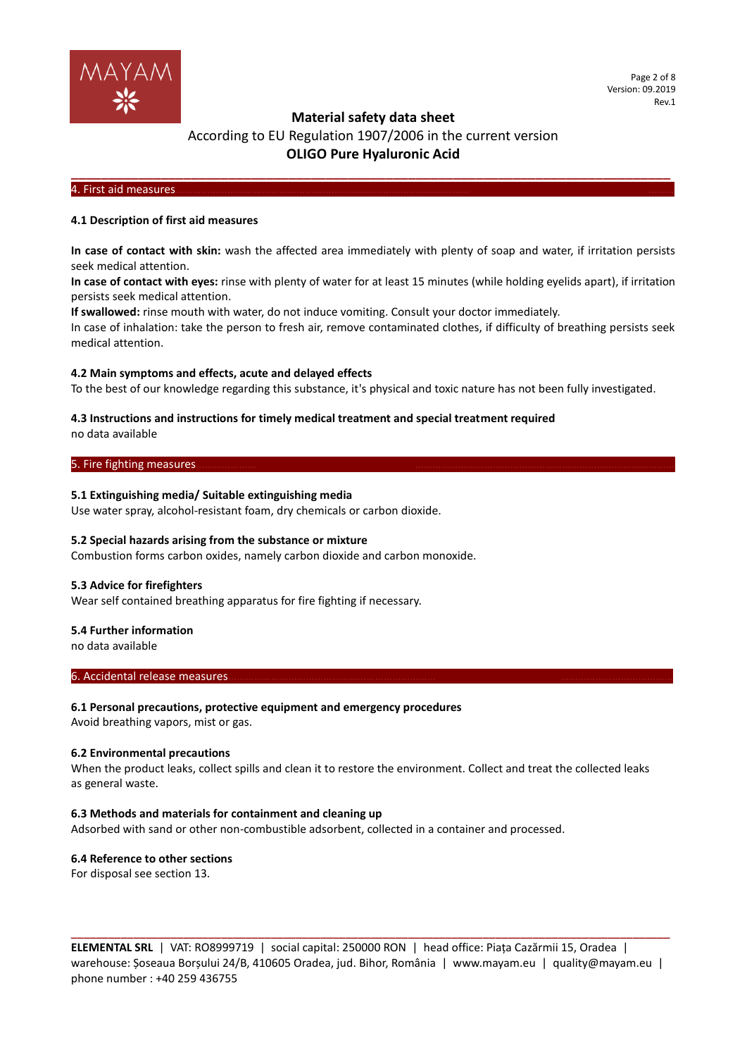

### According to EU Regulation 1907/2006 in the current version **OLIGO Pure Hyaluronic Acid**

**\_\_\_\_\_\_\_\_\_\_\_\_\_\_\_\_\_\_\_\_\_\_\_\_\_\_\_\_\_\_\_\_\_\_\_\_\_\_\_\_\_\_\_\_\_\_\_\_\_\_\_\_\_\_\_\_\_\_\_\_\_\_\_\_\_\_\_\_\_\_\_\_\_\_\_\_\_\_\_\_**

### 4. First aid measures………………………………………………………………………………………… ………

### **4.1 Description of first aid measures**

**In case of contact with skin:** wash the affected area immediately with plenty of soap and water, if irritation persists seek medical attention.

**In case of contact with eyes:** rinse with plenty of water for at least 15 minutes (while holding eyelids apart), if irritation persists seek medical attention.

**If swallowed:** rinse mouth with water, do not induce vomiting. Consult your doctor immediately.

In case of inhalation: take the person to fresh air, remove contaminated clothes, if difficulty of breathing persists seek medical attention.

### **4.2 Main symptoms and effects, acute and delayed effects**

To the best of our knowledge regarding this substance, it's physical and toxic nature has not been fully investigated.

### **4.3 Instructions and instructions for timely medical treatment and special treatment required**

no data available

### 5. Fire fighting measures.

### **5.1 Extinguishing media/ Suitable extinguishing media**

Use water spray, alcohol-resistant foam, dry chemicals or carbon dioxide.

### **5.2 Special hazards arising from the substance or mixture**

Combustion forms carbon oxides, namely carbon dioxide and carbon monoxide.

### **5.3 Advice for firefighters**

Wear self contained breathing apparatus for fire fighting if necessary.

#### **5.4 Further information**

no data available

### 6. Accidental release measures.

### **6.1 Personal precautions, protective equipment and emergency procedures**

Avoid breathing vapors, mist or gas.

### **6.2 Environmental precautions**

When the product leaks, collect spills and clean it to restore the environment. Collect and treat the collected leaks as general waste.

### **6.3 Methods and materials for containment and cleaning up**

Adsorbed with sand or other non-combustible adsorbent, collected in a container and processed.

### **6.4 Reference to other sections**

For disposal see section 13.

**ELEMENTAL SRL** | VAT: RO8999719 | social capital: 250000 RON | head office: Piața Cazărmii 15, Oradea | warehouse: Șoseaua Borșului 24/B, 410605 Oradea, jud. Bihor, România | www.mayam.eu | quality@mayam.eu | phone number : +40 259 436755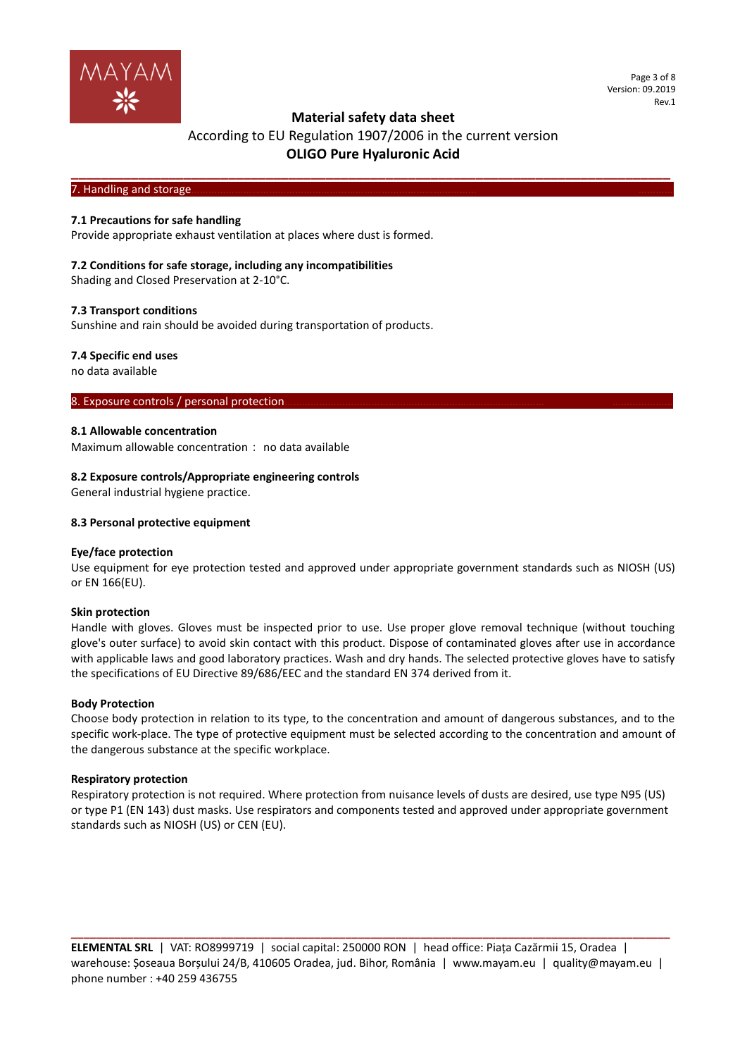

# According to EU Regulation 1907/2006 in the current version **OLIGO Pure Hyaluronic Acid**

**\_\_\_\_\_\_\_\_\_\_\_\_\_\_\_\_\_\_\_\_\_\_\_\_\_\_\_\_\_\_\_\_\_\_\_\_\_\_\_\_\_\_\_\_\_\_\_\_\_\_\_\_\_\_\_\_\_\_\_\_\_\_\_\_\_\_\_\_\_\_\_\_\_\_\_\_\_\_\_\_**

### 7. Handling and storage

### **7.1 Precautions for safe handling**

Provide appropriate exhaust ventilation at places where dust is formed.

### **7.2 Conditions for safe storage, including any incompatibilities**

Shading and Closed Preservation at 2-10°C.

### **7.3 Transport conditions**

Sunshine and rain should be avoided during transportation of products.

### **7.4 Specific end uses**

no data available

### 8. Exposure controls / personal protection.

### **8.1 Allowable concentration**

Maximum allowable concentration: no data available

### **8.2 Exposure controls/Appropriate engineering controls**

General industrial hygiene practice.

#### **8.3 Personal protective equipment**

### **Eye/face protection**

Use equipment for eye protection tested and approved under appropriate government standards such as NIOSH (US) or EN 166(EU).

### **Skin protection**

Handle with gloves. Gloves must be inspected prior to use. Use proper glove removal technique (without touching glove's outer surface) to avoid skin contact with this product. Dispose of contaminated gloves after use in accordance with applicable laws and good laboratory practices. Wash and dry hands. The selected protective gloves have to satisfy the specifications of EU Directive 89/686/EEC and the standard EN 374 derived from it.

#### **Body Protection**

Choose body protection in relation to its type, to the concentration and amount of dangerous substances, and to the specific work-place. The type of protective equipment must be selected according to the concentration and amount of the dangerous substance at the specific workplace.

### **Respiratory protection**

Respiratory protection is not required. Where protection from nuisance levels of dusts are desired, use type N95 (US) or type P1 (EN 143) dust masks. Use respirators and components tested and approved under appropriate government standards such as NIOSH (US) or CEN (EU).

**ELEMENTAL SRL** | VAT: RO8999719 | social capital: 250000 RON | head office: Piața Cazărmii 15, Oradea | warehouse: Șoseaua Borșului 24/B, 410605 Oradea, jud. Bihor, România | www.mayam.eu | quality@mayam.eu | phone number : +40 259 436755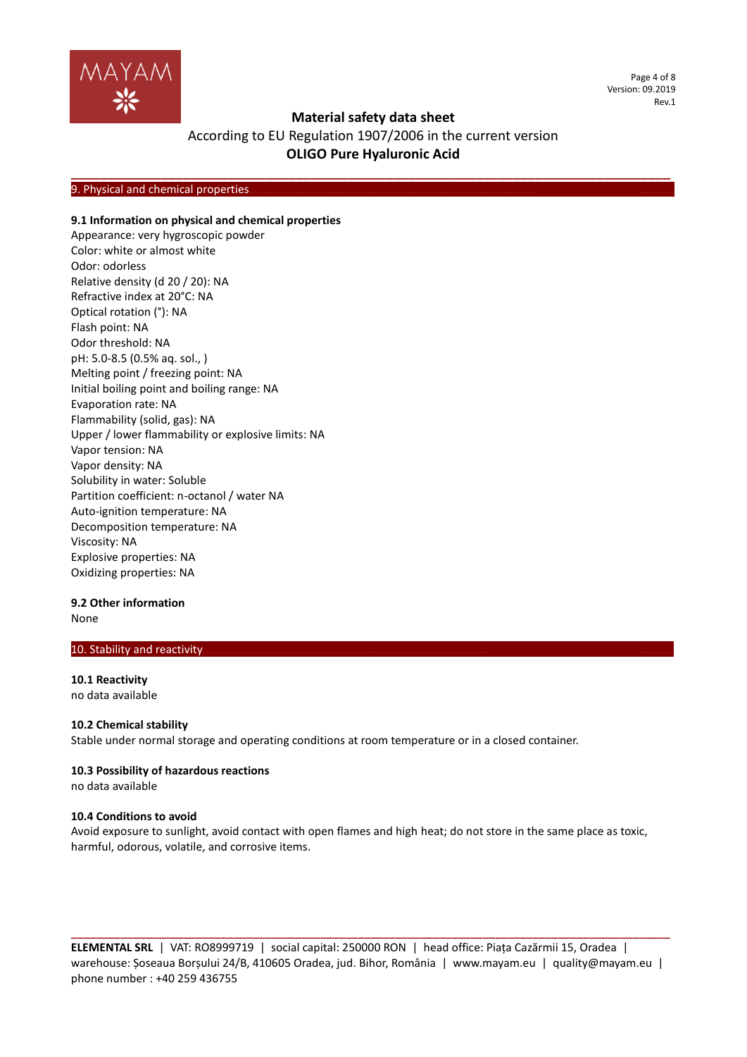

Page 4 of 8 Version: 09.2019 Rev.1

### **Material safety data sheet**

# According to EU Regulation 1907/2006 in the current version **OLIGO Pure Hyaluronic Acid**

**\_\_\_\_\_\_\_\_\_\_\_\_\_\_\_\_\_\_\_\_\_\_\_\_\_\_\_\_\_\_\_\_\_\_\_\_\_\_\_\_\_\_\_\_\_\_\_\_\_\_\_\_\_\_\_\_\_\_\_\_\_\_\_\_\_\_\_\_\_\_\_\_\_\_\_\_\_\_\_\_**

### 9. Physical and chemical properties

### **9.1 Information on physical and chemical properties**

Appearance: very hygroscopic powder Color: white or almost white Odor: odorless Relative density (d 20 / 20): NA Refractive index at 20°C: NA Optical rotation (°): NA Flash point: NA Odor threshold: NA pH: 5.0-8.5 (0.5% aq. sol., ) Melting point / freezing point: NA Initial boiling point and boiling range: NA Evaporation rate: NA Flammability (solid, gas): NA Upper / lower flammability or explosive limits: NA Vapor tension: NA Vapor density: NA Solubility in water: Soluble Partition coefficient: n-octanol / water NA Auto-ignition temperature: NA Decomposition temperature: NA Viscosity: NA Explosive properties: NA Oxidizing properties: NA

### **9.2 Other information**

None

### 10. Stability and reactivity.

**10.1 Reactivity** no data available

### **10.2 Chemical stability**

Stable under normal storage and operating conditions at room temperature or in a closed container.

### **10.3 Possibility of hazardous reactions**

no data available

### **10.4 Conditions to avoid**

Avoid exposure to sunlight, avoid contact with open flames and high heat; do not store in the same place as toxic, harmful, odorous, volatile, and corrosive items.

**ELEMENTAL SRL** | VAT: RO8999719 | social capital: 250000 RON | head office: Piața Cazărmii 15, Oradea | warehouse: Șoseaua Borșului 24/B, 410605 Oradea, jud. Bihor, România | www.mayam.eu | quality@mayam.eu | phone number : +40 259 436755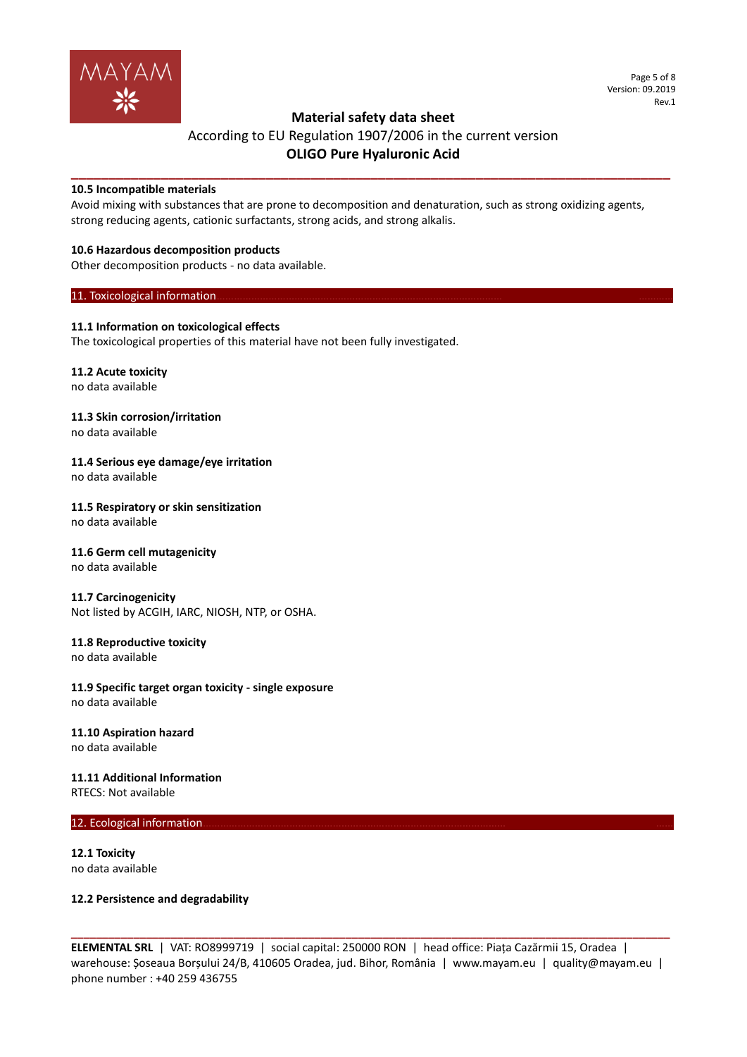

# According to EU Regulation 1907/2006 in the current version **OLIGO Pure Hyaluronic Acid**

**\_\_\_\_\_\_\_\_\_\_\_\_\_\_\_\_\_\_\_\_\_\_\_\_\_\_\_\_\_\_\_\_\_\_\_\_\_\_\_\_\_\_\_\_\_\_\_\_\_\_\_\_\_\_\_\_\_\_\_\_\_\_\_\_\_\_\_\_\_\_\_\_\_\_\_\_\_\_\_\_**

### **10.5 Incompatible materials**

Avoid mixing with substances that are prone to decomposition and denaturation, such as strong oxidizing agents, strong reducing agents, cationic surfactants, strong acids, and strong alkalis.

### **10.6 Hazardous decomposition products**

Other decomposition products - no data available.

### 11. Toxicological information.

### **11.1 Information on toxicological effects**

The toxicological properties of this material have not been fully investigated.

# **11.2 Acute toxicity**

no data available

# **11.3 Skin corrosion/irritation**

no data available

#### **11.4 Serious eye damage/eye irritation** no data available

### **11.5 Respiratory or skin sensitization**

no data available

# **11.6 Germ cell mutagenicity**

no data available

### **11.7 Carcinogenicity**

Not listed by ACGIH, IARC, NIOSH, NTP, or OSHA.

### **11.8 Reproductive toxicity**

no data available

### **11.9 Specific target organ toxicity - single exposure** no data available

### **11.10 Aspiration hazard**

no data available

### **11.11 Additional Information**

RTECS: Not available

### 12. Ecological information.

**12.1 Toxicity** no data available

### **12.2 Persistence and degradability**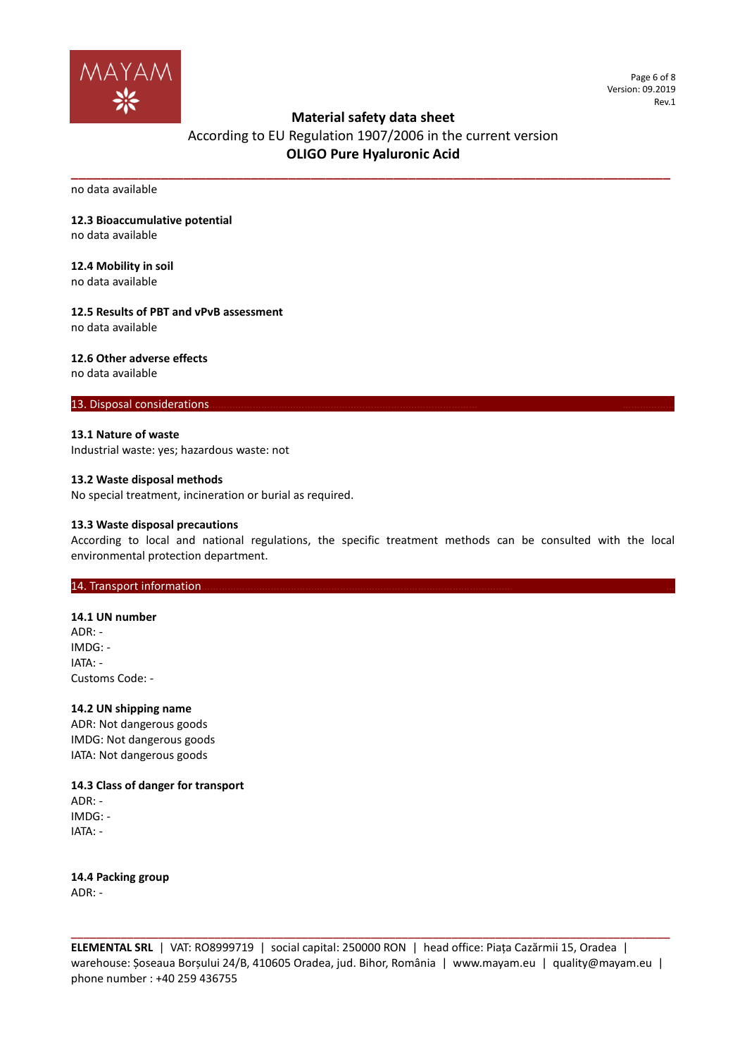

Page 6 of 8 Version: 09.2019 Rev.1

### **Material safety data sheet**

# According to EU Regulation 1907/2006 in the current version **OLIGO Pure Hyaluronic Acid**

**\_\_\_\_\_\_\_\_\_\_\_\_\_\_\_\_\_\_\_\_\_\_\_\_\_\_\_\_\_\_\_\_\_\_\_\_\_\_\_\_\_\_\_\_\_\_\_\_\_\_\_\_\_\_\_\_\_\_\_\_\_\_\_\_\_\_\_\_\_\_\_\_\_\_\_\_\_\_\_\_**

no data available

### **12.3 Bioaccumulative potential**

no data available

### **12.4 Mobility in soil**

no data available

### **12.5 Results of PBT and vPvB assessment**

no data available

### **12.6 Other adverse effects**

no data available

### 13. Disposal considerations

### **13.1 Nature of waste**

Industrial waste: yes; hazardous waste: not

### **13.2 Waste disposal methods**

No special treatment, incineration or burial as required.

### **13.3 Waste disposal precautions**

According to local and national regulations, the specific treatment methods can be consulted with the local environmental protection department.

### 14. Transport information.

### **14.1 UN number**

 $ADR^T -$ IMDG: - IATA: - Customs Code: -

### **14.2 UN shipping name**

ADR: Not dangerous goods IMDG: Not dangerous goods IATA: Not dangerous goods

### **14.3 Class of danger for transport** ADR: -

IMDG: - IATA: -

**14.4 Packing group** ADR: -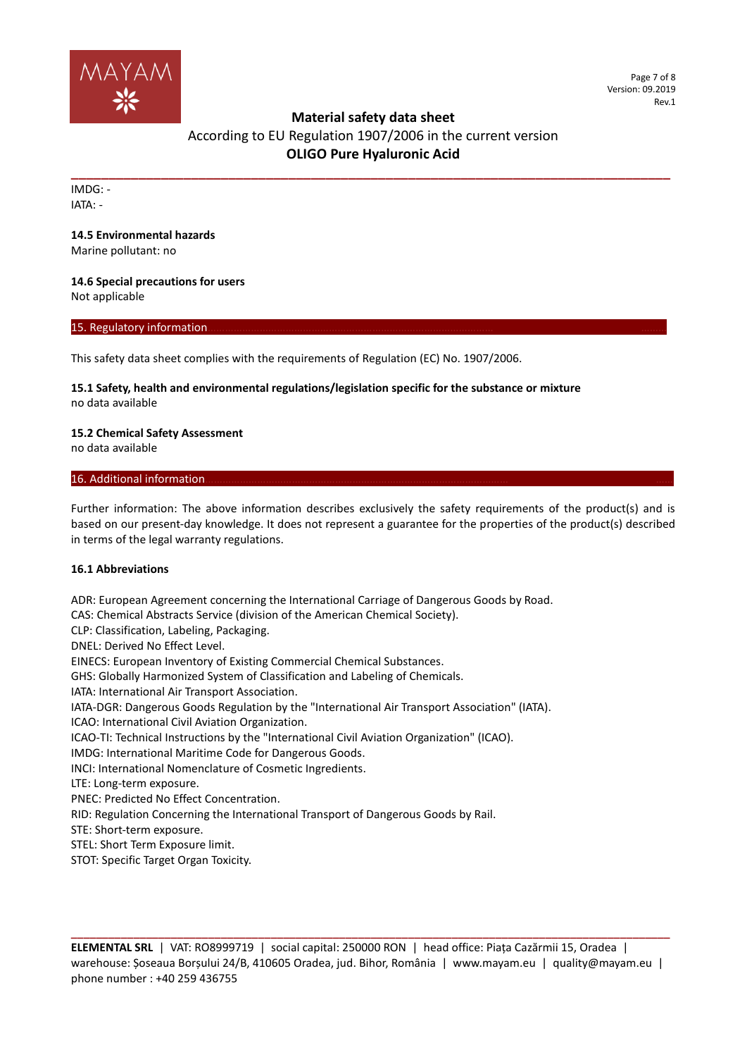

# According to EU Regulation 1907/2006 in the current version **OLIGO Pure Hyaluronic Acid**

**\_\_\_\_\_\_\_\_\_\_\_\_\_\_\_\_\_\_\_\_\_\_\_\_\_\_\_\_\_\_\_\_\_\_\_\_\_\_\_\_\_\_\_\_\_\_\_\_\_\_\_\_\_\_\_\_\_\_\_\_\_\_\_\_\_\_\_\_\_\_\_\_\_\_\_\_\_\_\_\_**

IMDG: - IATA: -

### **14.5 Environmental hazards**

Marine pollutant: no

### **14.6 Special precautions for users**

Not applicable

### 15. Regulatory information

This safety data sheet complies with the requirements of Regulation (EC) No. 1907/2006.

### **15.1 Safety, health and environmental regulations/legislation specific for the substance or mixture** no data available

### **15.2 Chemical Safety Assessment**

no data available

### 16. Additional information

Further information: The above information describes exclusively the safety requirements of the product(s) and is based on our present-day knowledge. It does not represent a guarantee for the properties of the product(s) described in terms of the legal warranty regulations.

### **16.1 Abbreviations**

ADR: European Agreement concerning the International Carriage of Dangerous Goods by Road. CAS: Chemical Abstracts Service (division of the American Chemical Society). CLP: Classification, Labeling, Packaging. DNEL: Derived No Effect Level. EINECS: European Inventory of Existing Commercial Chemical Substances. GHS: Globally Harmonized System of Classification and Labeling of Chemicals. IATA: International Air Transport Association. IATA-DGR: Dangerous Goods Regulation by the "International Air Transport Association" (IATA). ICAO: International Civil Aviation Organization. ICAO-TI: Technical Instructions by the "International Civil Aviation Organization" (ICAO). IMDG: International Maritime Code for Dangerous Goods. INCI: International Nomenclature of Cosmetic Ingredients. LTE: Long-term exposure. PNEC: Predicted No Effect Concentration. RID: Regulation Concerning the International Transport of Dangerous Goods by Rail. STE: Short-term exposure. STEL: Short Term Exposure limit.

STOT: Specific Target Organ Toxicity.